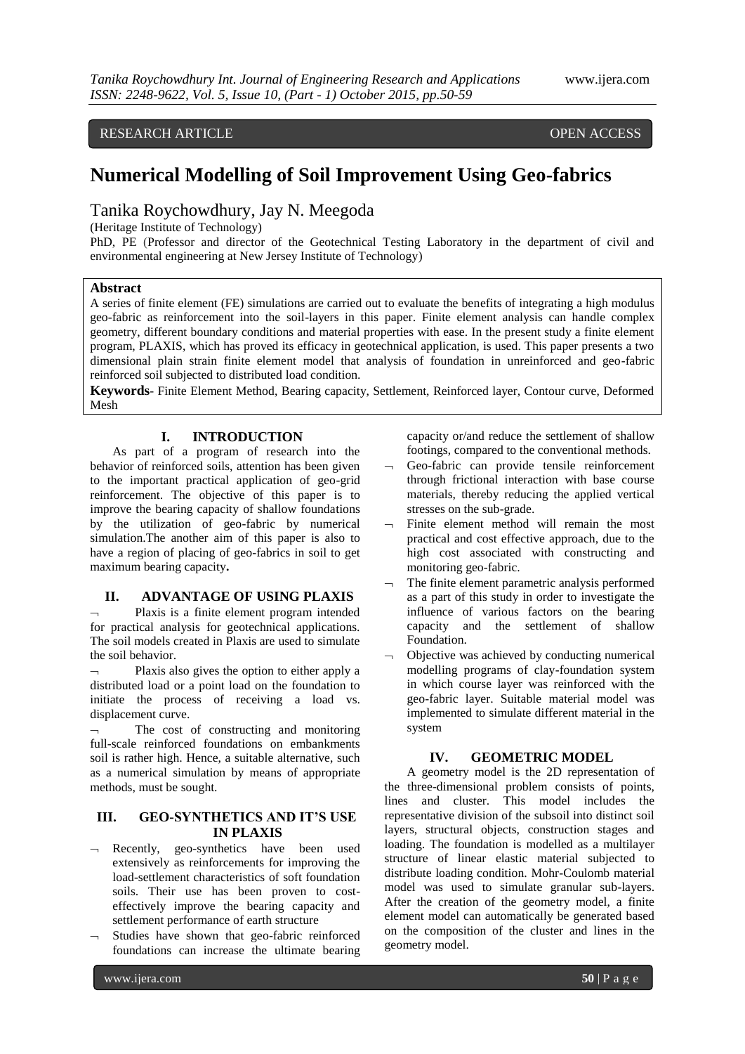## RESEARCH ARTICLE **CONSERVERS** OPEN ACCESS

# **Numerical Modelling of Soil Improvement Using Geo-fabrics**

# Tanika Roychowdhury, Jay N. Meegoda

(Heritage Institute of Technology)

PhD, PE (Professor and director of the Geotechnical Testing Laboratory in the department of civil and environmental engineering at New Jersey Institute of Technology)

## **Abstract**

A series of finite element (FE) simulations are carried out to evaluate the benefits of integrating a high modulus geo-fabric as reinforcement into the soil-layers in this paper. Finite element analysis can handle complex geometry, different boundary conditions and material properties with ease. In the present study a finite element program, PLAXIS, which has proved its efficacy in geotechnical application, is used. This paper presents a two dimensional plain strain finite element model that analysis of foundation in unreinforced and geo-fabric reinforced soil subjected to distributed load condition.

**Keywords**- Finite Element Method, Bearing capacity, Settlement, Reinforced layer, Contour curve, Deformed Mesh

## **I. INTRODUCTION**

As part of a program of research into the behavior of reinforced soils, attention has been given to the important practical application of geo-grid reinforcement. The objective of this paper is to improve the bearing capacity of shallow foundations by the utilization of geo-fabric by numerical simulation.The another aim of this paper is also to have a region of placing of geo-fabrics in soil to get maximum bearing capacity**.**

## **II. ADVANTAGE OF USING PLAXIS**

 Plaxis is a finite element program intended for practical analysis for geotechnical applications. The soil models created in Plaxis are used to simulate the soil behavior.

 Plaxis also gives the option to either apply a distributed load or a point load on the foundation to initiate the process of receiving a load vs. displacement curve.

 The cost of constructing and monitoring full-scale reinforced foundations on embankments soil is rather high. Hence, a suitable alternative, such as a numerical simulation by means of appropriate methods, must be sought.

## **III. GEO-SYNTHETICS AND IT'S USE IN PLAXIS**

- $\lnot$  Recently, geo-synthetics have been used extensively as reinforcements for improving the load-settlement characteristics of soft foundation soils. Their use has been proven to costeffectively improve the bearing capacity and settlement performance of earth structure
- $\lnot$  Studies have shown that geo-fabric reinforced foundations can increase the ultimate bearing

capacity or/and reduce the settlement of shallow footings, compared to the conventional methods.

- $\neg$  Geo-fabric can provide tensile reinforcement through frictional interaction with base course materials, thereby reducing the applied vertical stresses on the sub-grade.
- $\lnot$  Finite element method will remain the most practical and cost effective approach, due to the high cost associated with constructing and monitoring geo-fabric.
- The finite element parametric analysis performed as a part of this study in order to investigate the influence of various factors on the bearing capacity and the settlement of shallow Foundation.
- Objective was achieved by conducting numerical modelling programs of clay-foundation system in which course layer was reinforced with the geo-fabric layer. Suitable material model was implemented to simulate different material in the system

#### **IV. GEOMETRIC MODEL**

A geometry model is the 2D representation of the three-dimensional problem consists of points, lines and cluster. This model includes the representative division of the subsoil into distinct soil layers, structural objects, construction stages and loading. The foundation is modelled as a multilayer structure of linear elastic material subjected to distribute loading condition. Mohr-Coulomb material model was used to simulate granular sub-layers. After the creation of the geometry model, a finite element model can automatically be generated based on the composition of the cluster and lines in the geometry model.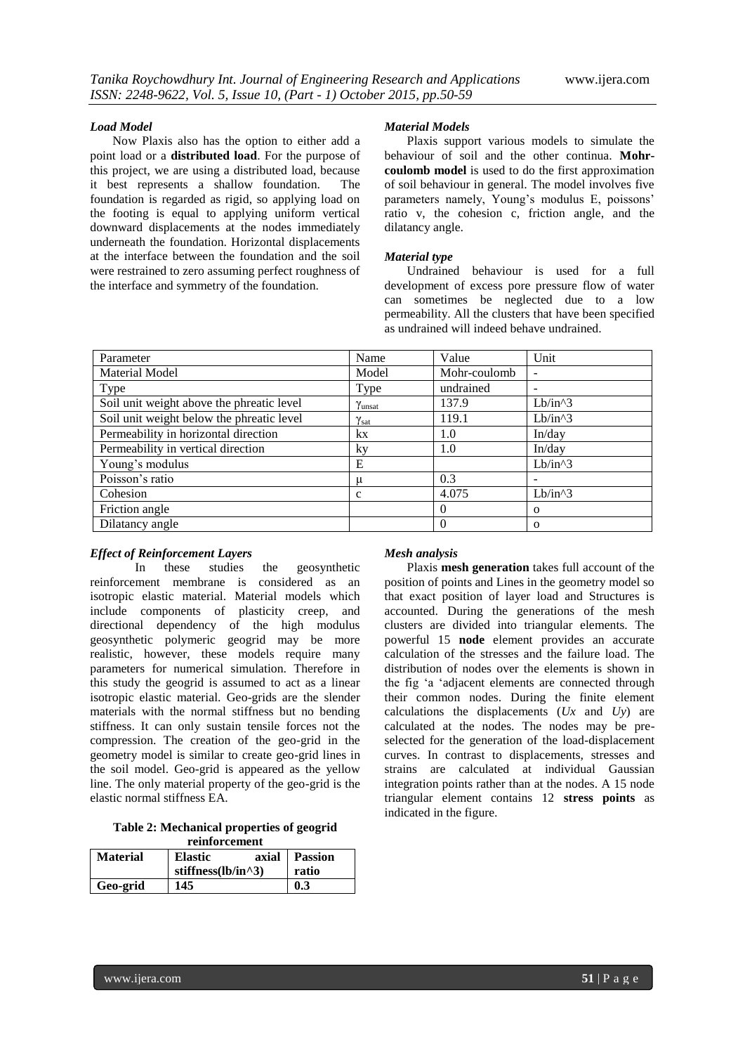#### *Load Model*

Now Plaxis also has the option to either add a point load or a **distributed load**. For the purpose of this project, we are using a distributed load, because it best represents a shallow foundation. The foundation is regarded as rigid, so applying load on the footing is equal to applying uniform vertical downward displacements at the nodes immediately underneath the foundation. Horizontal displacements at the interface between the foundation and the soil were restrained to zero assuming perfect roughness of the interface and symmetry of the foundation.

#### *Material Models*

Plaxis support various models to simulate the behaviour of soil and the other continua. **Mohrcoulomb model** is used to do the first approximation of soil behaviour in general. The model involves five parameters namely, Young's modulus E, poissons' ratio v, the cohesion c, friction angle, and the dilatancy angle.

#### *Material type*

Undrained behaviour is used for a full development of excess pore pressure flow of water can sometimes be neglected due to a low permeability. All the clusters that have been specified as undrained will indeed behave undrained.

| Parameter                                 | Name   | Value        | Unit                     |
|-------------------------------------------|--------|--------------|--------------------------|
| <b>Material Model</b>                     | Model  | Mohr-coulomb | $\overline{\phantom{a}}$ |
| Type                                      | Type   | undrained    |                          |
| Soil unit weight above the phreatic level | Yunsat | 137.9        | $Lb/in^3$                |
| Soil unit weight below the phreatic level | Ysat   | 119.1        | $Lb/in^3$                |
| Permeability in horizontal direction      | kx     | 1.0          | In/day                   |
| Permeability in vertical direction        | ky     | 1.0          | In/day                   |
| Young's modulus                           | E      |              | $Lb/in^3$                |
| Poisson's ratio                           | μ      | 0.3          | $\overline{\phantom{0}}$ |
| Cohesion                                  | c      | 4.075        | $Lb/in^3$                |
| Friction angle                            |        | $\theta$     | $\Omega$                 |
| Dilatancy angle                           |        | $\Omega$     | $\Omega$                 |

## *Effect of Reinforcement Layers*

In these studies the geosynthetic reinforcement membrane is considered as an isotropic elastic material. Material models which include components of plasticity creep, and directional dependency of the high modulus geosynthetic polymeric geogrid may be more realistic, however, these models require many parameters for numerical simulation. Therefore in this study the geogrid is assumed to act as a linear isotropic elastic material. Geo-grids are the slender materials with the normal stiffness but no bending stiffness. It can only sustain tensile forces not the compression. The creation of the geo-grid in the geometry model is similar to create geo-grid lines in the soil model. Geo-grid is appeared as the yellow line. The only material property of the geo-grid is the elastic normal stiffness EA.

**Table 2: Mechanical properties of geogrid reinforcement**

| <b>Material</b> | <b>Elastic</b><br>stiffness $(lb/in^3)$ | axial  <br><b>Passion</b><br>ratio |  |
|-----------------|-----------------------------------------|------------------------------------|--|
| Geo-grid        | 145                                     | 0.3                                |  |

#### *Mesh analysis*

Plaxis **mesh generation** takes full account of the position of points and Lines in the geometry model so that exact position of layer load and Structures is accounted. During the generations of the mesh clusters are divided into triangular elements. The powerful 15 **node** element provides an accurate calculation of the stresses and the failure load. The distribution of nodes over the elements is shown in the fig "a "adjacent elements are connected through their common nodes. During the finite element calculations the displacements (*Ux* and *Uy*) are calculated at the nodes. The nodes may be preselected for the generation of the load-displacement curves. In contrast to displacements*,* stresses and strains are calculated at individual Gaussian integration points rather than at the nodes. A 15 node triangular element contains 12 **stress points** as indicated in the figure.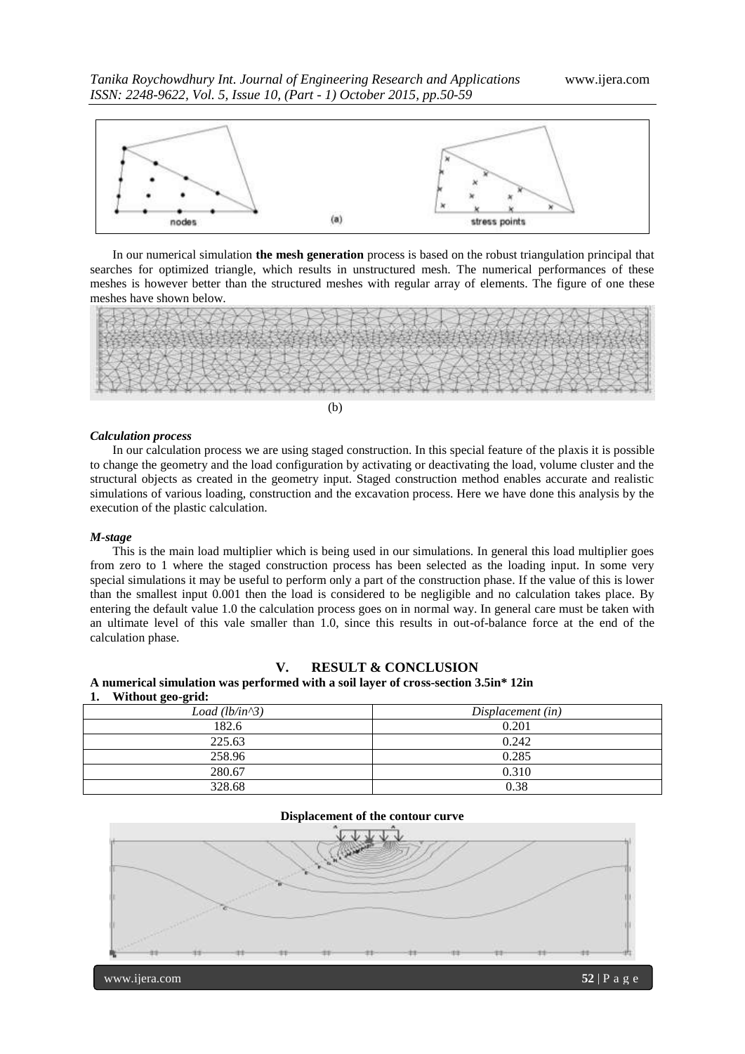

In our numerical simulation **the mesh generation** process is based on the robust triangulation principal that searches for optimized triangle, which results in unstructured mesh. The numerical performances of these meshes is however better than the structured meshes with regular array of elements. The figure of one these meshes have shown below.



#### *Calculation process*

In our calculation process we are using staged construction. In this special feature of the plaxis it is possible to change the geometry and the load configuration by activating or deactivating the load, volume cluster and the structural objects as created in the geometry input. Staged construction method enables accurate and realistic simulations of various loading, construction and the excavation process. Here we have done this analysis by the execution of the plastic calculation.

#### *M-stage*

This is the main load multiplier which is being used in our simulations. In general this load multiplier goes from zero to 1 where the staged construction process has been selected as the loading input. In some very special simulations it may be useful to perform only a part of the construction phase. If the value of this is lower than the smallest input 0.001 then the load is considered to be negligible and no calculation takes place. By entering the default value 1.0 the calculation process goes on in normal way. In general care must be taken with an ultimate level of this vale smaller than 1.0, since this results in out-of-balance force at the end of the calculation phase.

#### **V. RESULT & CONCLUSION**

### **A numerical simulation was performed with a soil layer of cross-section 3.5in\* 12in 1. Without geo-grid:**

| Load $(lb/in^3)$ | Displacement (in) |
|------------------|-------------------|
| 182.6            | 0.201             |
| 225.63           | 0.242             |
| 258.96           | 0.285             |
| 280.67           | 0.310             |
| 328.68           | 0.38              |

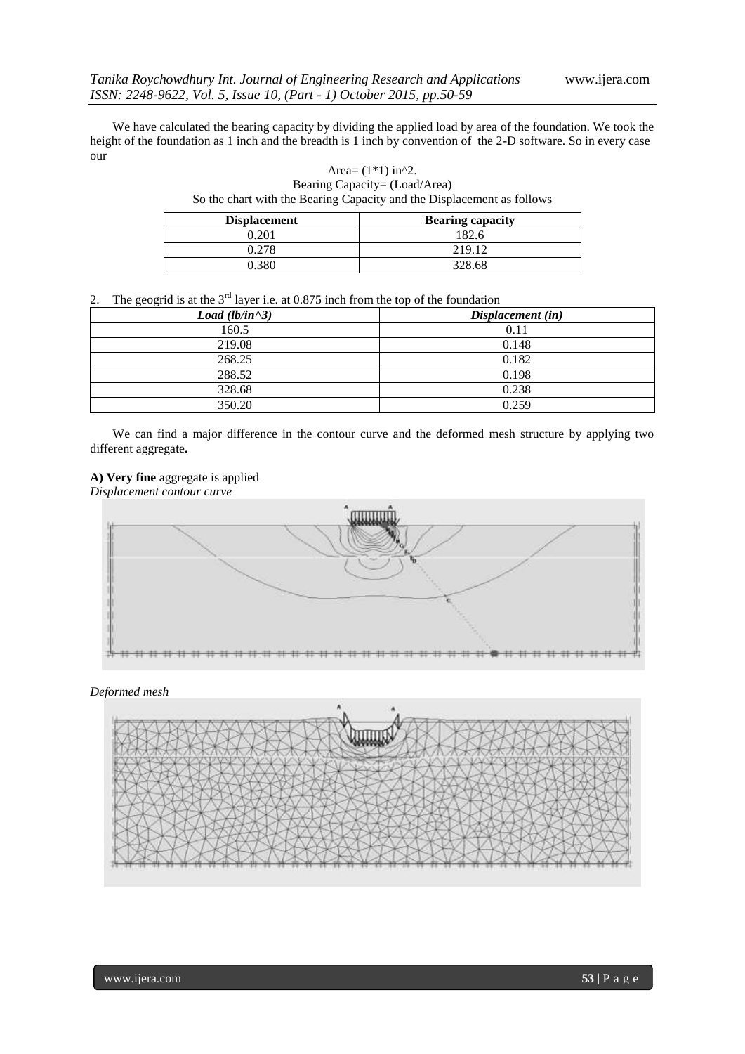We have calculated the bearing capacity by dividing the applied load by area of the foundation. We took the height of the foundation as 1 inch and the breadth is 1 inch by convention of the 2-D software. So in every case our

> Area=  $(1*1)$  in^2. Bearing Capacity= (Load/Area) So the chart with the Bearing Capacity and the Displacement as follows

| <b>Displacement</b> | <b>Bearing capacity</b> |
|---------------------|-------------------------|
| 0.201               | 182.6                   |
| 0.278               | 219.12                  |
| ⊦380                | 328.68                  |

2. The geogrid is at the  $3<sup>rd</sup>$  layer i.e. at 0.875 inch from the top of the foundation

| Load (lb/in^3) | Displacement (in) |
|----------------|-------------------|
| 160.5          | 0.11              |
| 219.08         | 0.148             |
| 268.25         | 0.182             |
| 288.52         | 0.198             |
| 328.68         | 0.238             |
| 350.20         | 0.259             |

We can find a major difference in the contour curve and the deformed mesh structure by applying two different aggregate**.**

## **A) Very fine** aggregate is applied

*Displacement contour curve*



*Deformed mesh*

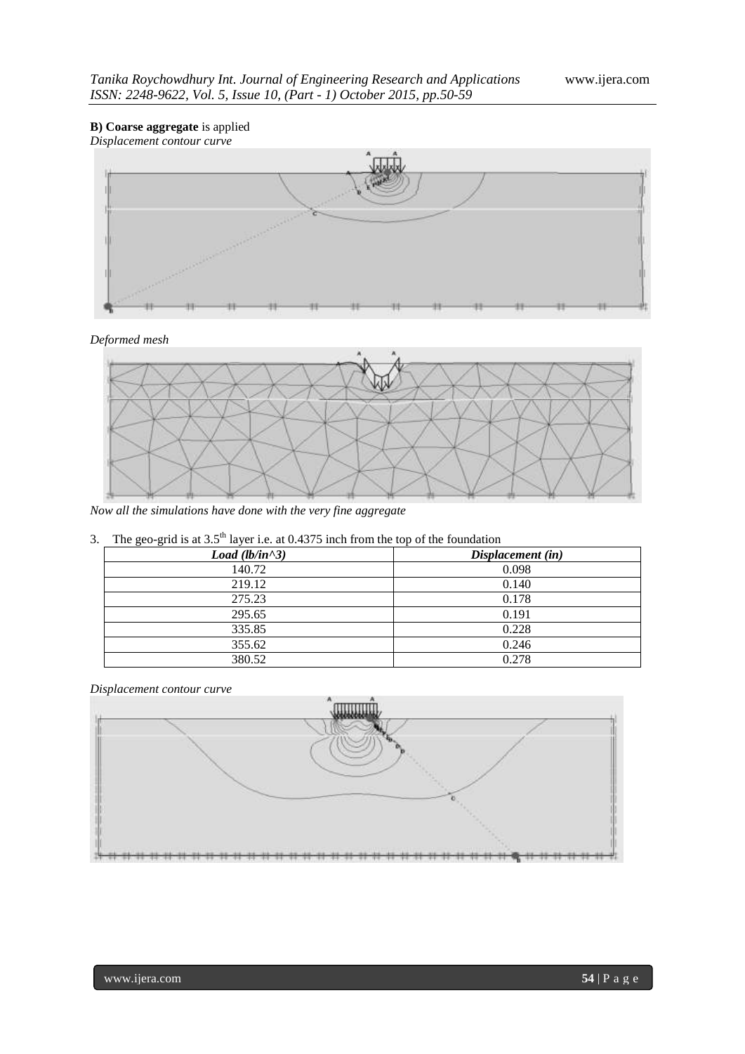## **B) Coarse aggregate** is applied *Displacement contour curve*



*Deformed mesh*



*Now all the simulations have done with the very fine aggregate*

|  |  |  | 3. The geo-grid is at $3.5th$ layer i.e. at 0.4375 inch from the top of the foundation |
|--|--|--|----------------------------------------------------------------------------------------|
|  |  |  |                                                                                        |

| Load $(lb/in \land 3)$ | Displacement (in) |
|------------------------|-------------------|
| 140.72                 | 0.098             |
| 219.12                 | 0.140             |
| 275.23                 | 0.178             |
| 295.65                 | 0.191             |
| 335.85                 | 0.228             |
| 355.62                 | 0.246             |
| 380.52                 | 0.278             |

*Displacement contour curve*

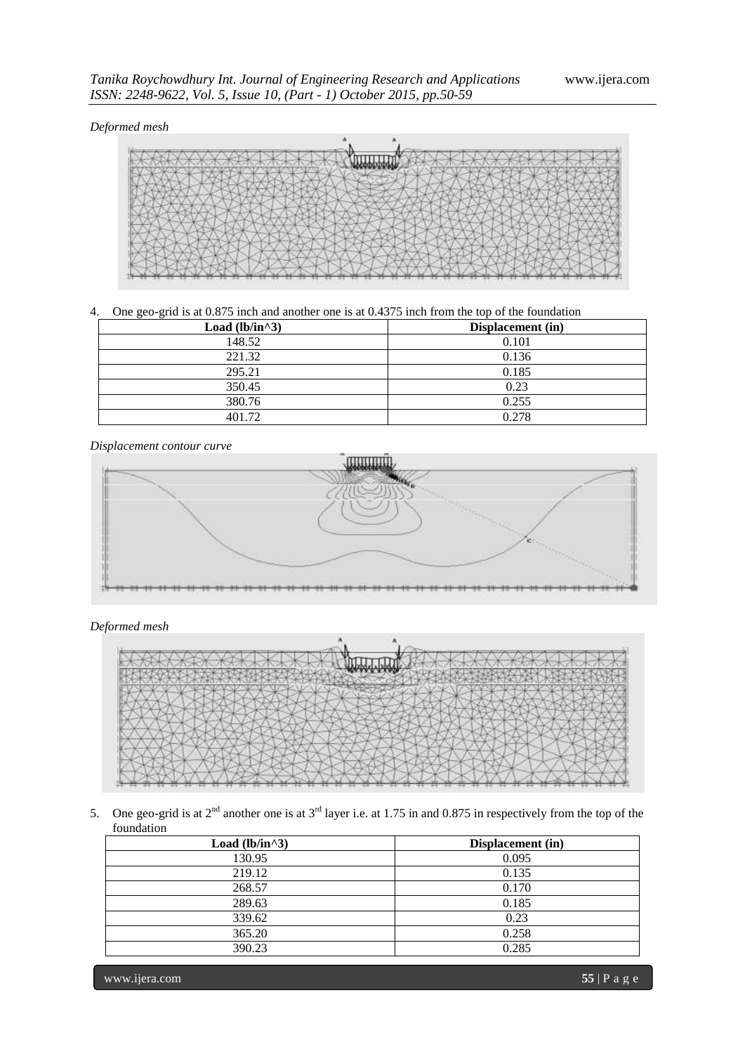## *Deformed mesh*



4. One geo-grid is at 0.875 inch and another one is at 0.4375 inch from the top of the foundation

| Load (lb/in^3) | Displacement (in) |
|----------------|-------------------|
| 148.52         | 0.101             |
| 221.32         | 0.136             |
| 295.21         | 0.185             |
| 350.45         | 0.23              |
| 380.76         | 0.255             |
| 401.72         | 0.278             |

*Displacement contour curve*



*Deformed mesh*



5. One geo-grid is at  $2<sup>nd</sup>$  another one is at  $3<sup>rd</sup>$  layer i.e. at 1.75 in and 0.875 in respectively from the top of the foundation

| Load (lb/in^3) | Displacement (in) |
|----------------|-------------------|
| 130.95         | 0.095             |
| 219.12         | 0.135             |
| 268.57         | 0.170             |
| 289.63         | 0.185             |
| 339.62         | 0.23              |
| 365.20         | 0.258             |
| 390.23         | 0.285             |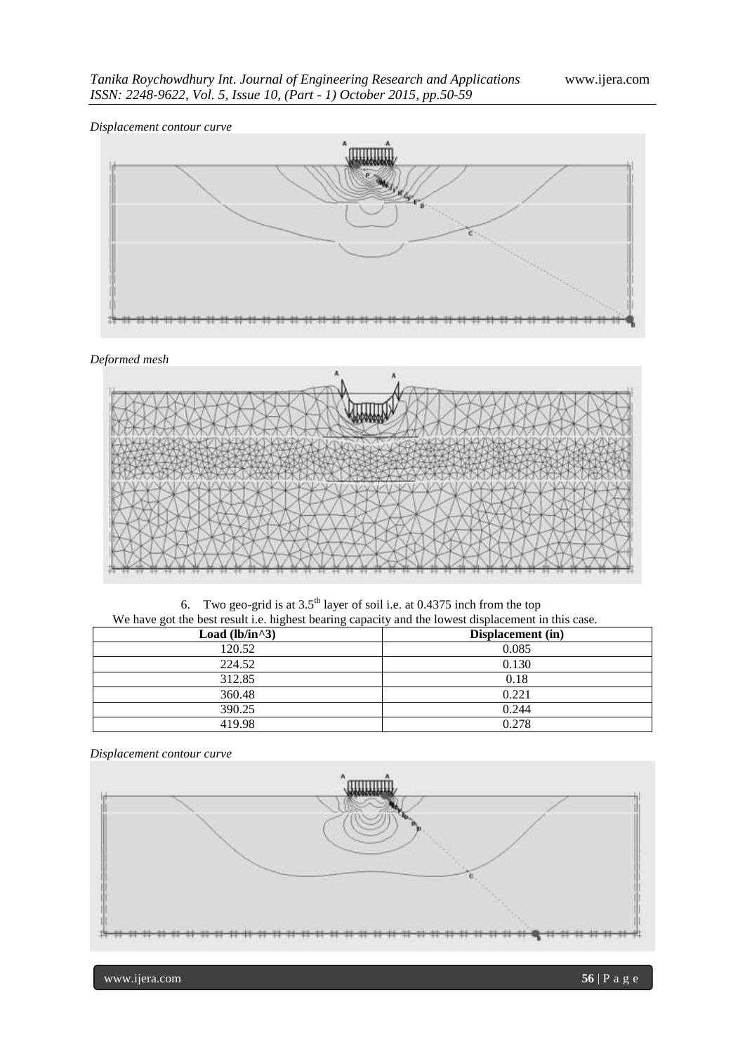*Displacement contour curve*



## *Deformed mesh*



6. Two geo-grid is at  $3.5<sup>th</sup>$  layer of soil i.e. at 0.4375 inch from the top We have got the best result i.e. highest bearing capacity and the lowest displacement in this case.

| we have got the overloom not highest ovaling vapavity and the fowver explainent in and ease. |                   |
|----------------------------------------------------------------------------------------------|-------------------|
| Load (lb/in^3)                                                                               | Displacement (in) |
| 120.52                                                                                       | 0.085             |
| 224.52                                                                                       | 0.130             |
| 312.85                                                                                       | 0.18              |
| 360.48                                                                                       | 0.221             |
| 390.25                                                                                       | 0.244             |
| 419.98                                                                                       | 0.278             |

*Displacement contour curve*

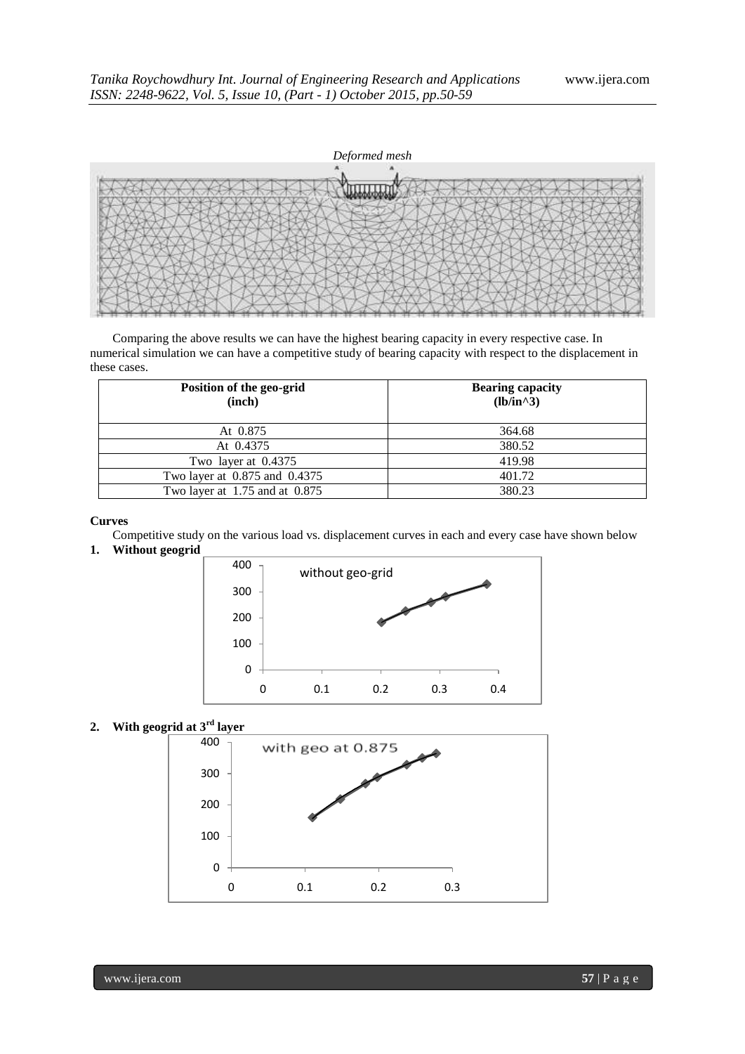

Comparing the above results we can have the highest bearing capacity in every respective case. In numerical simulation we can have a competitive study of bearing capacity with respect to the displacement in these cases.

| Position of the geo-grid<br>(inch) | <b>Bearing capacity</b><br>$(lb/in^3)$ |
|------------------------------------|----------------------------------------|
| At 0.875                           | 364.68                                 |
| At 0.4375                          | 380.52                                 |
| Two layer at 0.4375                | 419.98                                 |
| Two layer at 0.875 and 0.4375      | 401.72                                 |
| Two layer at $1.75$ and at $0.875$ | 380.23                                 |

### **Curves**

Competitive study on the various load vs. displacement curves in each and every case have shown below

## **1. Without geogrid**



**2. With geogrid at 3rd layer**

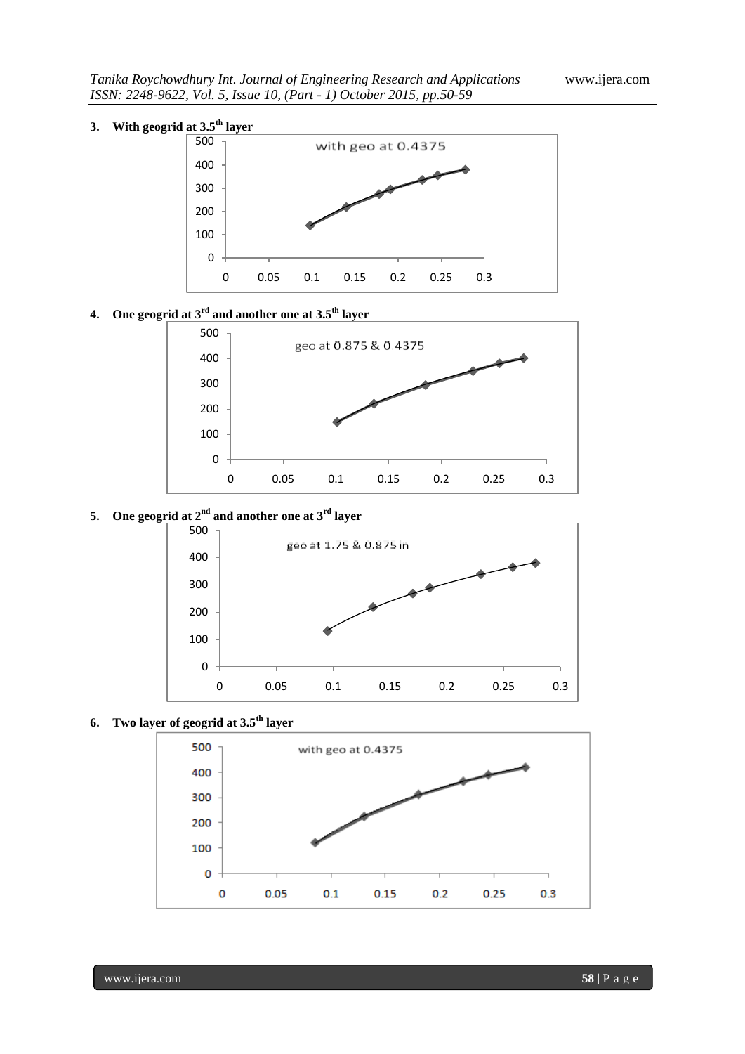# **3. With geogrid at 3.5th layer**



**4. One geogrid at 3rd and another one at 3.5th layer**



# **5. One geogrid at 2nd and another one at 3rd layer**



**6. Two layer of geogrid at 3.5th layer**